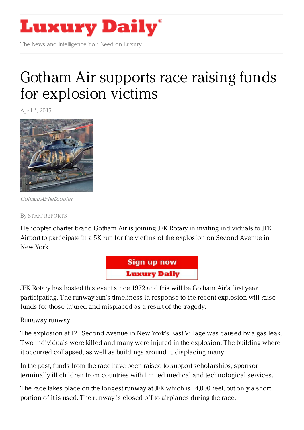

The News and Intelligence You Need on Luxury

## Gotham Air supports race raising funds for [explosion](https://www.luxurydaily.com/gotham-air-supports-race-raising-funds-for-explosion-victims/) victims

April 2, 2015



Gotham Air helicopter

By STAFF [REPORT](/author/staff-reports) S

Helicopter charter brand Gotham Air is joining JFK Rotary in inviting individuals to JFK Airport to participate in a 5K run for the victims of the explosion on Second Avenue in New York.



JFK Rotary has hosted this event since 1972 and this will be Gotham Air's first year participating. The runway run's timeliness in response to the recent explosion will raise funds for those injured and misplaced as a result of the tragedy.

Runaway runway

The explosion at 121 Second Avenue in New York's East Village was caused by a gas leak. Two individuals were killed and many were injured in the explosion. The building where it occurred collapsed, as well as buildings around it, displacing many.

In the past, funds from the race have been raised to support scholarships, sponsor terminally ill children from countries with limited medical and technological services.

The race takes place on the longest runway at JFK which is 14,000 feet, but only a short portion of it is used. The runway is closed off to airplanes during the race.